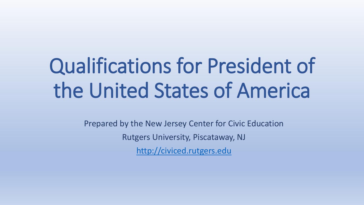# Qualifications for President of the United States of America

Prepared by the New Jersey Center for Civic Education Rutgers University, Piscataway, NJ [http://civiced.rutgers.edu](http://civiced.rutgers.edu/)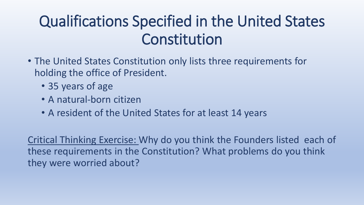# Qualifications Specified in the United States Constitution

- The United States Constitution only lists three requirements for holding the office of President.
	- 35 years of age
	- A natural-born citizen
	- A resident of the United States for at least 14 years

Critical Thinking Exercise: Why do you think the Founders listed each of these requirements in the Constitution? What problems do you think they were worried about?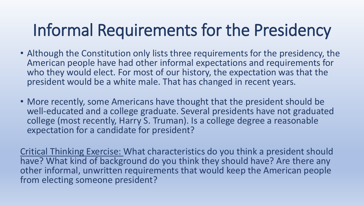# Informal Requirements for the Presidency

- Although the Constitution only lists three requirements for the presidency, the American people have had other informal expectations and requirements for who they would elect. For most of our history, the expectation was that the president would be a white male. That has changed in recent years.
- More recently, some Americans have thought that the president should be well-educated and a college graduate. Several presidents have not graduated college (most recently, Harry S. Truman). Is a college degree a reasonable expectation for a candidate for president?

Critical Thinking Exercise: What characteristics do you think a president should have? What kind of background do you think they should have? Are there any other informal, unwritten requirements that would keep the American people from electing someone president?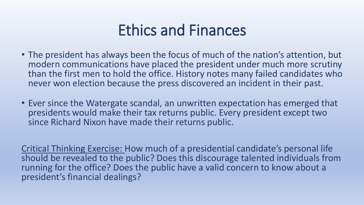### Ethics and Finances

- The president has always been the focus of much of the nation's attention, but modern communications have placed the president under much more scrutiny than the first men to hold the office. History notes many failed candidates who never won election because the press discovered an incident in their past.
- Ever since the Watergate scandal, an unwritten expectation has emerged that presidents would make their tax returns public. Every president except two since Richard Nixon have made their returns public.

Critical Thinking Exercise: How much of a presidential candidate's personal life should be revealed to the public? Does this discourage talented individuals from running for the office? Does the public have a valid concern to know about a president's financial dealings?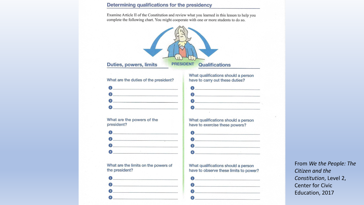#### Determining qualifications for the presidency

Examine Article II of the Constitution and review what you learned in this lesson to help you complete the following chart. You might cooperate with one or more students to do so.



From *We the People: The Citizen and the Constitution*, Level 2, Center for Civic Education, 2017